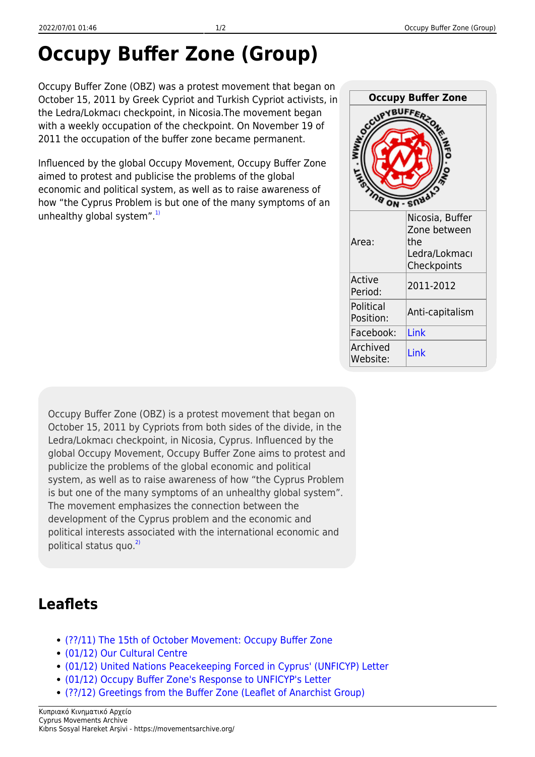## **Occupy Buffer Zone (Group)**

Occupy Buffer Zone (OBZ) was a protest movement that began on October 15, 2011 by Greek Cypriot and Turkish Cypriot activists, in the Ledra/Lokmacı checkpoint, in Nicosia.The movement began with a weekly occupation of the checkpoint. On November 19 of 2011 the occupation of the buffer zone became permanent.

Influenced by the global Occupy Movement, Occupy Buffer Zone aimed to protest and publicise the problems of the global economic and political system, as well as to raise awareness of how "the Cyprus Problem is but one of the many symptoms of an unhealthy global system". $1)$ 

| <b>Occupy Buffer Zone</b><br><b>CUPY</b> |                                                                        |
|------------------------------------------|------------------------------------------------------------------------|
| Area:                                    | Nicosia, Buffer<br>Zone between<br>the<br>Ledra/Lokmacı<br>Checkpoints |
| Active<br>Period:                        | 2011-2012                                                              |
| Political<br>Position:                   | Anti-capitalism                                                        |
| Facebook:                                | Link                                                                   |
| Archived<br>Website:                     | Link                                                                   |

Occupy Buffer Zone (OBZ) is a protest movement that began on October 15, 2011 by Cypriots from both sides of the divide, in the Ledra/Lokmacı checkpoint, in Nicosia, Cyprus. Influenced by the global Occupy Movement, Occupy Buffer Zone aims to protest and publicize the problems of the global economic and political system, as well as to raise awareness of how "the Cyprus Problem is but one of the many symptoms of an unhealthy global system". The movement emphasizes the connection between the development of the Cyprus problem and the economic and political interests associated with the international economic and political status quo. $^{2)}$  $^{2)}$  $^{2)}$ 

## **Leaflets**

- [\(??/11\) The 15th of October Movement: Occupy Buffer Zone](https://movementsarchive.org/doku.php?id=en:leaflets:obz:obz_15thoctober)
- [\(01/12\) Our Cultural Centre](https://movementsarchive.org/doku.php?id=en:leaflets:obz:obz_culturalcenter)
- [\(01/12\) United Nations Peacekeeping Forced in Cyprus' \(UNFICYP\) Letter](https://movementsarchive.org/doku.php?id=en:leaflets:obz:obz_unletter)
- [\(01/12\) Occupy Buffer Zone's Response to UNFICYP's Letter](https://movementsarchive.org/doku.php?id=en:leaflets:obz:obz_responsetoun)
- [\(??/12\) Greetings from the Buffer Zone \(Leaflet of Anarchist Group\)](https://movementsarchive.org/doku.php?id=en:leaflets:obz:obz_anarchists)

Κυπριακό Κινηματικό Αρχείο Cyprus Movements Archive Kıbrıs Sosyal Hareket Arşivi - https://movementsarchive.org/